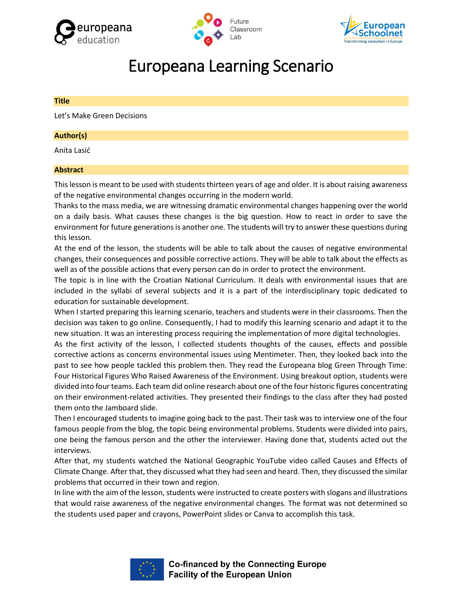





# Europeana Learning Scenario

# **Title**

Let's Make Green Decisions

# **Author(s)**

Anita Lasić

# **Abstract**

This lesson is meant to be used with students thirteen years of age and older. It is about raising awareness of the negative environmental changes occurring in the modern world.

Thanks to the mass media, we are witnessing dramatic environmental changes happening over the world on a daily basis. What causes these changes is the big question. How to react in order to save the environment for future generations is another one. The students will try to answer these questions during this lesson.

At the end of the lesson, the students will be able to talk about the causes of negative environmental changes, their consequences and possible corrective actions. They will be able to talk about the effects as well as of the possible actions that every person can do in order to protect the environment.

The topic is in line with the Croatian National Curriculum. It deals with environmental issues that are included in the syllabi of several subjects and it is a part of the interdisciplinary topic dedicated to education for sustainable development.

When I started preparing this learning scenario, teachers and students were in their classrooms. Then the decision was taken to go online. Consequently, I had to modify this learning scenario and adapt it to the new situation. It was an interesting process requiring the implementation of more digital technologies.

As the first activity of the lesson, I collected students thoughts of the causes, effects and possible corrective actions as concerns environmental issues using Mentimeter. Then, they looked back into the past to see how people tackled this problem then. They read the Europeana blog Green Through Time: Four Historical Figures Who Raised Awareness of the Environment. Using breakout option, students were divided into four teams. Each team did online research about one of the four historic figures concentrating on their environment-related activities. They presented their findings to the class after they had posted them onto the Jamboard slide.

Then I encouraged students to imagine going back to the past. Their task was to interview one of the four famous people from the blog, the topic being environmental problems. Students were divided into pairs, one being the famous person and the other the interviewer. Having done that, students acted out the interviews.

After that, my students watched the National Geographic YouTube video called Causes and Effects of Climate Change. After that, they discussed what they had seen and heard. Then, they discussed the similar problems that occurred in their town and region.

In line with the aim of the lesson, students were instructed to create posters with slogans and illustrations that would raise awareness of the negative environmental changes. The format was not determined so the students used paper and crayons, PowerPoint slides or Canva to accomplish this task.



**Co-financed by the Connecting Europe Facility of the European Union**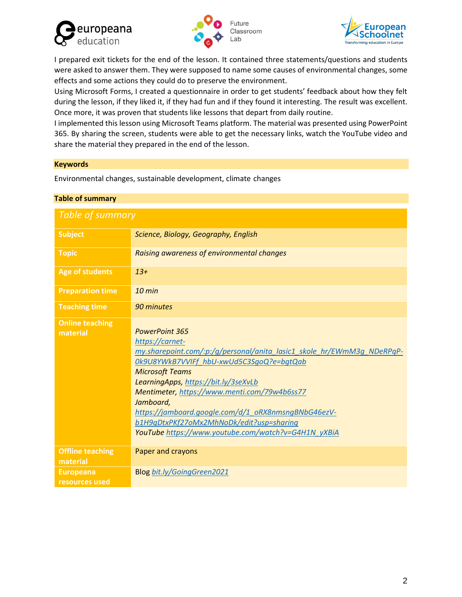





I prepared exit tickets for the end of the lesson. It contained three statements/questions and students were asked to answer them. They were supposed to name some causes of environmental changes, some effects and some actions they could do to preserve the environment.

Using Microsoft Forms, I created a questionnaire in order to get students' feedback about how they felt during the lesson, if they liked it, if they had fun and if they found it interesting. The result was excellent. Once more, it was proven that students like lessons that depart from daily routine.

I implemented this lesson using Microsoft Teams platform. The material was presented using PowerPoint 365. By sharing the screen, students were able to get the necessary links, watch the YouTube video and share the material they prepared in the end of the lesson.

# **Keywords**

Environmental changes, sustainable development, climate changes

| Table of summary                    |                                                                                                                                                                                                                                                                                                                                                                                                                                                         |  |
|-------------------------------------|---------------------------------------------------------------------------------------------------------------------------------------------------------------------------------------------------------------------------------------------------------------------------------------------------------------------------------------------------------------------------------------------------------------------------------------------------------|--|
| Table of summary                    |                                                                                                                                                                                                                                                                                                                                                                                                                                                         |  |
| <b>Subject</b>                      | Science, Biology, Geography, English                                                                                                                                                                                                                                                                                                                                                                                                                    |  |
| <b>Topic</b>                        | Raising awareness of environmental changes                                                                                                                                                                                                                                                                                                                                                                                                              |  |
| <b>Age of students</b>              | $13+$                                                                                                                                                                                                                                                                                                                                                                                                                                                   |  |
| <b>Preparation time</b>             | $10$ min                                                                                                                                                                                                                                                                                                                                                                                                                                                |  |
| <b>Teaching time</b>                | 90 minutes                                                                                                                                                                                                                                                                                                                                                                                                                                              |  |
| <b>Online teaching</b><br>material  | <b>PowerPoint 365</b><br>https://carnet-<br>my.sharepoint.com/:p:/q/personal/anita lasic1 skole hr/EWmM3q NDeRPqP-<br>Ok9U8YWkB7VVIFf hbU-xwUd5C3SqoQ?e=bqtQab<br><b>Microsoft Teams</b><br>LearningApps, https://bit.ly/3seXvLb<br>Mentimeter, https://www.menti.com/79w4b6ss77<br>Jamboard,<br>https://jamboard.google.com/d/1_oRX8nmsngBNbG46ezV-<br>b1H9qDtxPKf27oMx2MhNoDk/edit?usp=sharing<br>YouTube https://www.youtube.com/watch?v=G4H1N yXBiA |  |
| <b>Offline teaching</b><br>material | Paper and crayons                                                                                                                                                                                                                                                                                                                                                                                                                                       |  |
| <b>Europeana</b><br>resources used  | <b>Blog bit.ly/GoingGreen2021</b>                                                                                                                                                                                                                                                                                                                                                                                                                       |  |

# **Table of summary**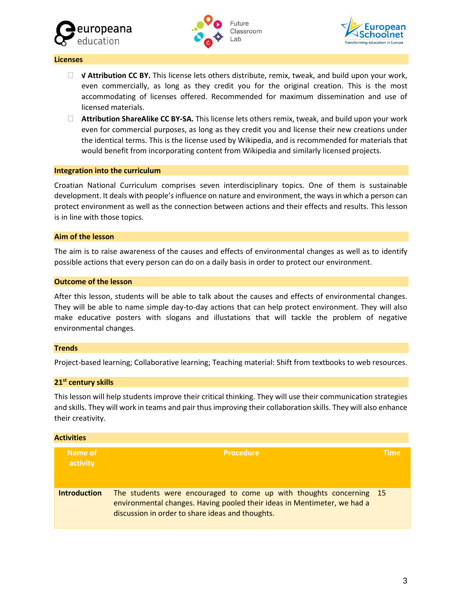





#### **Licenses**

- **√ Attribution CC BY.** This license lets others distribute, remix, tweak, and build upon your work, even commercially, as long as they credit you for the original creation. This is the most accommodating of licenses offered. Recommended for maximum dissemination and use of licensed materials.
- **Attribution ShareAlike CC BY-SA.** This license lets others remix, tweak, and build upon your work even for commercial purposes, as long as they credit you and license their new creations under the identical terms. This is the license used by Wikipedia, and is recommended for materials that would benefit from incorporating content from Wikipedia and similarly licensed projects.

#### **Integration into the curriculum**

Croatian National Curriculum comprises seven interdisciplinary topics. One of them is sustainable development. It deals with people'sinfluence on nature and environment, the ways in which a person can protect environment as well as the connection between actions and their effects and results. This lesson is in line with those topics.

#### **Aim of the lesson**

The aim is to raise awareness of the causes and effects of environmental changes as well as to identify possible actions that every person can do on a daily basis in order to protect our environment.

#### **Outcome of the lesson**

After this lesson, students will be able to talk about the causes and effects of environmental changes. They will be able to name simple day-to-day actions that can help protect environment. They will also make educative posters with slogans and illustations that will tackle the problem of negative environmental changes.

#### **Trends**

Project-based learning; Collaborative learning; Teaching material: Shift from textbooks to web resources.

#### **21st century skills**

This lesson will help students improve their critical thinking. They will use their communication strategies and skills. They will work in teams and pair thus improving their collaboration skills. They will also enhance their creativity.

| <b>Activities</b>   |                                                                                                                                                                                                     |             |
|---------------------|-----------------------------------------------------------------------------------------------------------------------------------------------------------------------------------------------------|-------------|
| Name of<br>activity | <b>Procedure</b>                                                                                                                                                                                    | <b>Time</b> |
| <b>Introduction</b> | The students were encouraged to come up with thoughts concerning 15<br>environmental changes. Having pooled their ideas in Mentimeter, we had a<br>discussion in order to share ideas and thoughts. |             |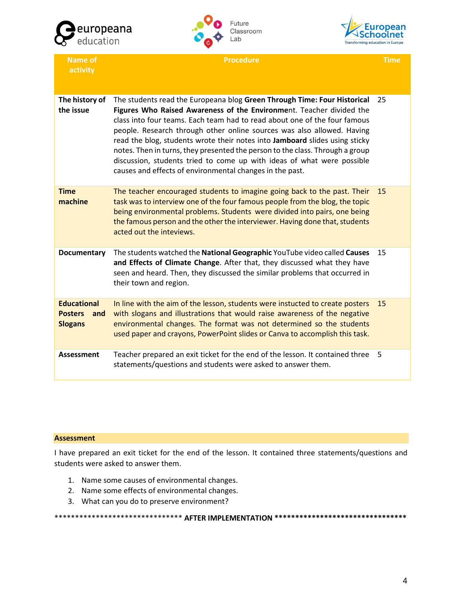





**Name of activity Procedure Time The history of the issue** The students read the Europeana blog **Green Through Time: Four Historical**  25 **Figures Who Raised Awareness of the Environme**nt. Teacher divided the class into four teams. Each team had to read about one of the four famous people. Research through other online sources was also allowed. Having read the blog, students wrote their notes into **Jamboard** slides using sticky notes. Then in turns, they presented the person to the class. Through a group discussion, students tried to come up with ideas of what were possible causes and effects of environmental changes in the past. **Time machine** The teacher encouraged students to imagine going back to the past. Their task was to interview one of the four famous people from the blog, the topic being environmental problems. Students were divided into pairs, one being the famous person and the other the interviewer. Having done that, students acted out the inteviews. 15 **Documentary** The students watched the **National Geographic** YouTube video called **Causes**  15 **and Effects of Climate Change**. After that, they discussed what they have seen and heard. Then, they discussed the similar problems that occurred in their town and region. **Educational Posters and Slogans** In line with the aim of the lesson, students were instucted to create posters 15 with slogans and illustrations that would raise awareness of the negative environmental changes. The format was not determined so the students used paper and crayons, PowerPoint slides or Canva to accomplish this task. Assessment Teacher prepared an exit ticket for the end of the lesson. It contained three 5 statements/questions and students were asked to answer them.

#### **Assessment**

I have prepared an exit ticket for the end of the lesson. It contained three statements/questions and students were asked to answer them.

- 1. Name some causes of environmental changes.
- 2. Name some effects of environmental changes.
- 3. What can you do to preserve environment?

# \*\*\*\*\*\*\*\*\*\*\*\*\*\*\*\*\*\*\*\*\*\*\*\*\*\*\*\*\*\*\* **AFTER IMPLEMENTATION \*\*\*\*\*\*\*\*\*\*\*\*\*\*\*\*\*\*\*\*\*\*\*\*\*\*\*\*\*\*\*\***